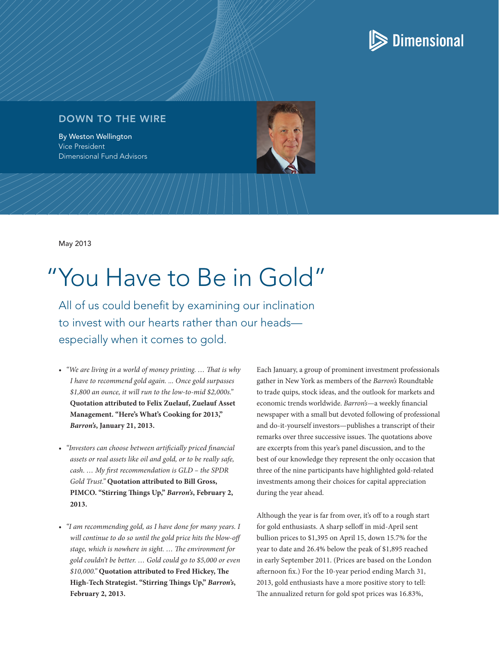

## DOWN TO THE WIRE

By Weston Wellington Vice President Dimensional Fund Advisors

May 2013

## "You Have to Be in Gold"

All of us could benefit by examining our inclination to invest with our hearts rather than our heads especially when it comes to gold.

- • *"We are living in a world of money printing. … That is why I have to recommend gold again. ... Once gold surpasses \$1,800 an ounce, it will run to the low-to-mid \$2,000s."* **Quotation attributed to Felix Zuelauf, Zuelauf Asset Management. "Here's What's Cooking for 2013,"**  *Barron's***, January 21, 2013.**
- • *"Investors can choose between artificially priced financial assets or real assets like oil and gold, or to be really safe, cash. … My first recommendation is GLD – the SPDR Gold Trust."* **Quotation attributed to Bill Gross, PIMCO. "Stirring Things Up,"** *Barron's***, February 2, 2013.**
- • *"I am recommending gold, as I have done for many years. I will continue to do so until the gold price hits the blow-off stage, which is nowhere in sight. … The environment for gold couldn't be better. … Gold could go to \$5,000 or even \$10,000."* **Quotation attributed to Fred Hickey, The High-Tech Strategist. "Stirring Things Up,"** *Barron's***, February 2, 2013.**

Each January, a group of prominent investment professionals gather in New York as members of the *Barron's* Roundtable to trade quips, stock ideas, and the outlook for markets and economic trends worldwide. *Barron's*—a weekly financial newspaper with a small but devoted following of professional and do-it-yourself investors—publishes a transcript of their remarks over three successive issues. The quotations above are excerpts from this year's panel discussion, and to the best of our knowledge they represent the only occasion that three of the nine participants have highlighted gold-related investments among their choices for capital appreciation during the year ahead.

Although the year is far from over, it's off to a rough start for gold enthusiasts. A sharp selloff in mid-April sent bullion prices to \$1,395 on April 15, down 15.7% for the year to date and 26.4% below the peak of \$1,895 reached in early September 2011. (Prices are based on the London afternoon fix.) For the 10-year period ending March 31, 2013, gold enthusiasts have a more positive story to tell: The annualized return for gold spot prices was 16.83%,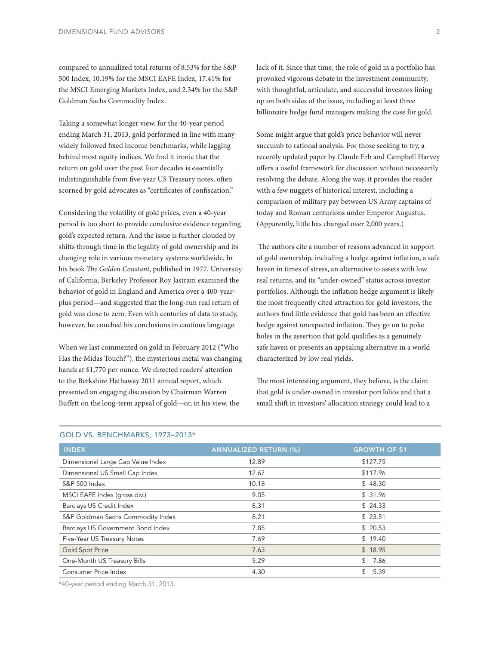compared to annualized total returns of 8.53% for the S&P 500 Index, 10.19% for the MSCI EAFE Index, 17.41% for the MSCI Emerging Markets Index, and 2.34% for the S&P Goldman Sachs Commodity Index.

Taking a somewhat longer view, for the 40-year period ending March 31, 2013, gold performed in line with many widely followed fixed income benchmarks, while lagging behind most equity indices. We find it ironic that the return on gold over the past four decades is essentially indistinguishable from five-year US Treasury notes, often scorned by gold advocates as "certificates of confiscation."

Considering the volatility of gold prices, even a 40-year period is too short to provide conclusive evidence regarding gold's expected return. And the issue is further clouded by shifts through time in the legality of gold ownership and its changing role in various monetary systems worldwide. In his book *The Golden Constant*, published in 1977, University of California, Berkeley Professor Roy Jastram examined the behavior of gold in England and America over a 400-yearplus period—and suggested that the long-run real return of gold was close to zero. Even with centuries of data to study, however, he couched his conclusions in cautious language.

When we last commented on gold in February 2012 ("Who Has the Midas Touch?"), the mysterious metal was changing hands at \$1,770 per ounce. We directed readers' attention to the Berkshire Hathaway 2011 annual report, which presented an engaging discussion by Chairman Warren Buffett on the long-term appeal of gold—or, in his view, the

lack of it. Since that time, the role of gold in a portfolio has provoked vigorous debate in the investment community, with thoughtful, articulate, and successful investors lining up on both sides of the issue, including at least three billionaire hedge fund managers making the case for gold.

Some might argue that gold's price behavior will never succumb to rational analysis. For those seeking to try, a recently updated paper by Claude Erb and Campbell Harvey offers a useful framework for discussion without necessarily resolving the debate. Along the way, it provides the reader with a few nuggets of historical interest, including a comparison of military pay between US Army captains of today and Roman centurions under Emperor Augustus. (Apparently, little has changed over 2,000 years.)

The authors cite a number of reasons advanced in support of gold ownership, including a hedge against inflation, a safe haven in times of stress, an alternative to assets with low real returns, and its "under-owned" status across investor portfolios. Although the inflation hedge argument is likely the most frequently cited attraction for gold investors, the authors find little evidence that gold has been an effective hedge against unexpected inflation. They go on to poke holes in the assertion that gold qualifies as a genuinely safe haven or presents an appealing alternative in a world characterized by low real yields.

The most interesting argument, they believe, is the claim that gold is under-owned in investor portfolios and that a small shift in investors' allocation strategy could lead to a

| <b>INDEX</b>                      | <b>ANNUALIZED RETURN (%)</b> | <b>GROWTH OF \$1</b> |
|-----------------------------------|------------------------------|----------------------|
| Dimensional Large Cap Value Index | 12.89                        | \$127.75             |
| Dimensional US Small Cap Index    | 12.67                        | \$117.96             |
| <b>S&amp;P 500 Index</b>          | 10.18                        | \$48.30              |
| MSCI EAFE Index (gross div.)      | 9.05                         | \$31.96              |
| Barclays US Credit Index          | 8.31                         | \$24.33              |
| S&P Goldman Sachs Commodity Index | 8.21                         | \$23.51              |
| Barclays US Government Bond Index | 7.85                         | \$20.53              |
| Five-Year US Treasury Notes       | 7.69                         | \$19.40              |
| <b>Gold Spot Price</b>            | 7.63                         | \$18.95              |
| One-Month US Treasury Bills       | 5.29                         | \$<br>7.86           |
| Consumer Price Index              | 4.30                         | \$<br>5.39           |

## GOLD VS. BENCHMARKS, 1973–2013\*

\*40-year period ending March 31, 2013.